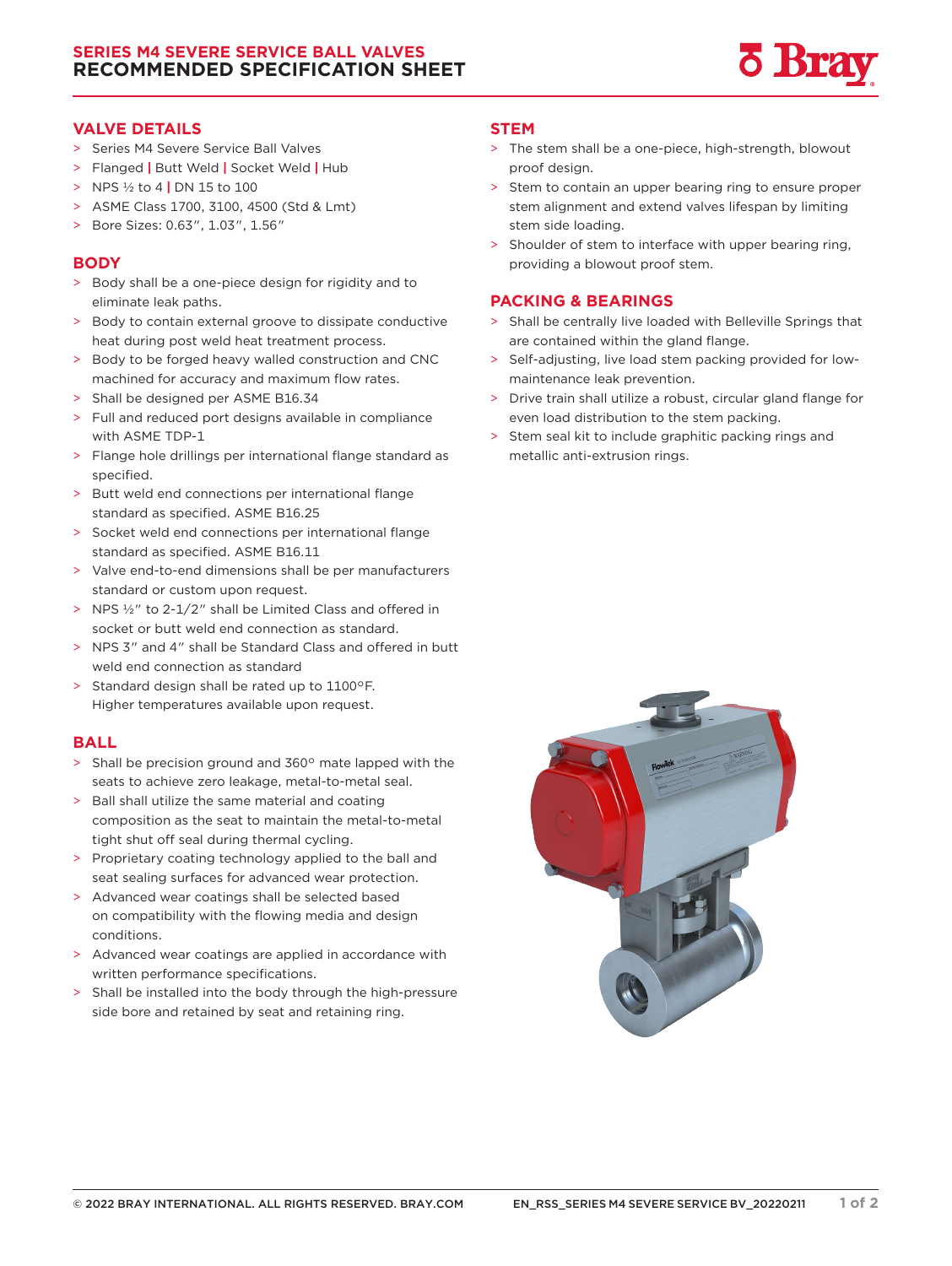## **SERIES M4 SEVERE SERVICE BALL VALVES RECOMMENDED SPECIFICATION SHEET**



### **VALVE DETAILS**

- > Series M4 Severe Service Ball Valves
- > Flanged **|** Butt Weld **|** Socket Weld **|** Hub
- > NPS ½ to 4 **|** DN 15 to 100
- > ASME Class 1700, 3100, 4500 (Std & Lmt)
- > Bore Sizes: 0.63", 1.03", 1.56"

### **BODY**

- > Body shall be a one-piece design for rigidity and to eliminate leak paths.
- > Body to contain external groove to dissipate conductive heat during post weld heat treatment process.
- > Body to be forged heavy walled construction and CNC machined for accuracy and maximum flow rates.
- > Shall be designed per ASME B16.34
- > Full and reduced port designs available in compliance with ASME TDP-1
- > Flange hole drillings per international flange standard as specified.
- > Butt weld end connections per international flange standard as specified. ASME B16.25
- > Socket weld end connections per international flange standard as specified. ASME B16.11
- > Valve end-to-end dimensions shall be per manufacturers standard or custom upon request.
- > NPS ½" to 2-1/2" shall be Limited Class and offered in socket or butt weld end connection as standard.
- > NPS 3" and 4" shall be Standard Class and offered in butt weld end connection as standard
- > Standard design shall be rated up to 1100°F. Higher temperatures available upon request.

#### **BALL**

- > Shall be precision ground and 360° mate lapped with the seats to achieve zero leakage, metal-to-metal seal.
- > Ball shall utilize the same material and coating composition as the seat to maintain the metal-to-metal tight shut off seal during thermal cycling.
- > Proprietary coating technology applied to the ball and seat sealing surfaces for advanced wear protection.
- > Advanced wear coatings shall be selected based on compatibility with the flowing media and design conditions.
- > Advanced wear coatings are applied in accordance with written performance specifications.
- > Shall be installed into the body through the high-pressure side bore and retained by seat and retaining ring.

#### **STEM**

- > The stem shall be a one-piece, high-strength, blowout proof design.
- > Stem to contain an upper bearing ring to ensure proper stem alignment and extend valves lifespan by limiting stem side loading.
- > Shoulder of stem to interface with upper bearing ring, providing a blowout proof stem.

### **PACKING & BEARINGS**

- > Shall be centrally live loaded with Belleville Springs that are contained within the gland flange.
- > Self-adjusting, live load stem packing provided for lowmaintenance leak prevention.
- > Drive train shall utilize a robust, circular gland flange for even load distribution to the stem packing.
- > Stem seal kit to include graphitic packing rings and metallic anti-extrusion rings.